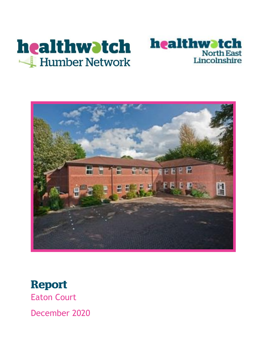





# **Report**

Eaton Court

December 2020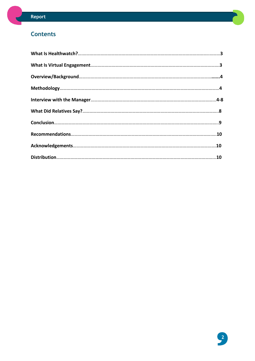### **Contents**

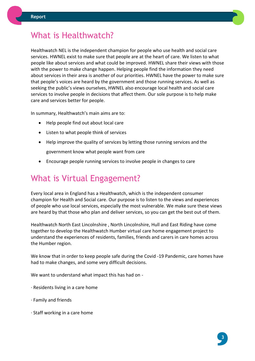

### What is Healthwatch?

Healthwatch NEL is the independent champion for people who use health and social care services. HWNEL exist to make sure that people are at the heart of care. We listen to what people like about services and what could be improved. HWNEL share their views with those with the power to make change happen. Helping people find the information they need about services in their area is another of our priorities. HWNEL have the power to make sure that people's voices are heard by the government and those running services. As well as seeking the public's views ourselves, HWNEL also encourage local health and social care services to involve people in decisions that affect them. Our sole purpose is to help make care and services better for people.

In summary, Healthwatch's main aims are to:

- Help people find out about local care
- Listen to what people think of services
- Help improve the quality of services by letting those running services and the government know what people want from care
- Encourage people running services to involve people in changes to care

### What is Virtual Engagement?

Every local area in England has a Healthwatch, which is the independent consumer champion for Health and Social care. Our purpose is to listen to the views and experiences of people who use local services, especially the most vulnerable. We make sure these views are heard by that those who plan and deliver services, so you can get the best out of them.

Healthwatch North East Lincolnshire , North Lincolnshire, Hull and East Riding have come together to develop the Healthwatch Humber virtual care home engagement project to understand the experiences of residents, families, friends and carers in care homes across the Humber region.

We know that in order to keep people safe during the Covid -19 Pandemic, care homes have had to make changes, and some very difficult decisions.

We want to understand what impact this has had on -

- · Residents living in a care home
- · Family and friends
- · Staff working in a care home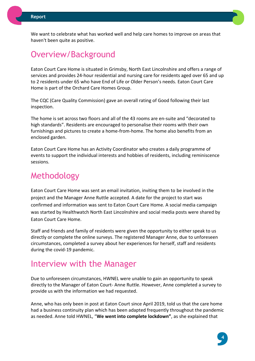We want to celebrate what has worked well and help care homes to improve on areas that haven't been quite as positive.

### Overview/Background

Eaton Court Care Home is situated in Grimsby, North East Lincolnshire and offers a range of services and provides 24-hour residential and nursing care for residents aged over 65 and up to 2 residents under 65 who have End of Life or Older Person's needs. Eaton Court Care Home is part of the Orchard Care Homes Group.

The CQC (Care Quality Commission) gave an overall rating of Good following their last inspection.

The home is set across two floors and all of the 43 rooms are en-suite and "decorated to high standards". Residents are encouraged to personalise their rooms with their own furnishings and pictures to create a home-from-home. The home also benefits from an enclosed garden.

Eaton Court Care Home has an Activity Coordinator who creates a daily programme of events to support the individual interests and hobbies of residents, including reminiscence sessions.

### Methodology

Eaton Court Care Home was sent an email invitation, inviting them to be involved in the project and the Manager Anne Ruttle accepted. A date for the project to start was confirmed and information was sent to Eaton Court Care Home. A social media campaign was started by Healthwatch North East Lincolnshire and social media posts were shared by Eaton Court Care Home.

Staff and friends and family of residents were given the opportunity to either speak to us directly or complete the online surveys. The registered Manager Anne, due to unforeseen circumstances, completed a survey about her experiences for herself, staff and residents during the covid-19 pandemic.

### Interview with the Manager

Due to unforeseen circumstances, HWNEL were unable to gain an opportunity to speak directly to the Manager of Eaton Court- Anne Ruttle. However, Anne completed a survey to provide us with the information we had requested.

Anne, who has only been in post at Eaton Court since April 2019, told us that the care home had a business continuity plan which has been adapted frequently throughout the pandemic as needed. Anne told HWNEL, "**We went into complete lockdown"**, as she explained that

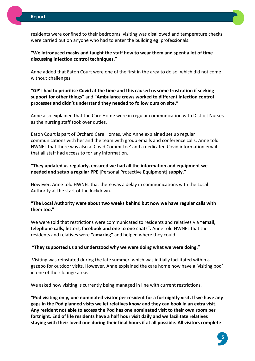

residents were confined to their bedrooms, visiting was disallowed and temperature checks were carried out on anyone who had to enter the building eg: professionals.

**"We introduced masks and taught the staff how to wear them and spent a lot of time discussing infection control techniques."**

Anne added that Eaton Court were one of the first in the area to do so, which did not come without challenges.

**"GP's had to prioritise Covid at the time and this caused us some frustration if seeking support for other things"** and **"Ambulance crews worked to different infection control processes and didn't understand they needed to follow ours on site."**

Anne also explained that the Care Home were in regular communication with District Nurses as the nursing staff took over duties.

Eaton Court is part of Orchard Care Homes, who Anne explained set up regular communications with her and the team with group emails and conference calls. Anne told HWNEL that there was also a 'Covid Committee' and a dedicated Covid information email that all staff had access to for any information.

**"They updated us regularly, ensured we had all the information and equipment we needed and setup a regular PPE** [Personal Protective Equipment] **supply."**

However, Anne told HWNEL that there was a delay in communications with the Local Authority at the start of the lockdown.

**"The Local Authority were about two weeks behind but now we have regular calls with them too."**

We were told that restrictions were communicated to residents and relatives via **"email, telephone calls, letters, facebook and one to one chats".** Anne told HWNEL that the residents and relatives were **"amazing"** and helped where they could.

**"They supported us and understood why we were doing what we were doing."**

Visiting was reinstated during the late summer, which was initially facilitated within a gazebo for outdoor visits. However, Anne explained the care home now have a 'visiting pod' in one of their lounge areas.

We asked how visiting is currently being managed in line with current restrictions.

**"Pod visiting only, one nominated visitor per resident for a fortnightly visit. If we have any gaps in the Pod planned visits we let relatives know and they can book in an extra visit. Any resident not able to access the Pod has one nominated visit to their own room per fortnight. End of life residents have a half hour visit daily and we facilitate relatives staying with their loved one during their final hours if at all possible. All visitors complete** 

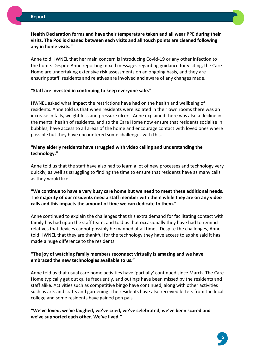

#### **Health Declaration forms and have their temperature taken and all wear PPE during their visits. The Pod is cleaned between each visits and all touch points are cleaned following any in home visits."**

Anne told HWNEL that her main concern is introducing Covid-19 or any other infection to the home. Despite Anne reporting mixed messages regarding guidance for visiting, the Care Home are undertaking extensive risk assessments on an ongoing basis, and they are ensuring staff, residents and relatives are involved and aware of any changes made.

#### **"Staff are invested in continuing to keep everyone safe."**

HWNEL asked what impact the restrictions have had on the health and wellbeing of residents. Anne told us that when residents were isolated in their own rooms there was an increase in falls, weight loss and pressure ulcers. Anne explained there was also a decline in the mental health of residents, and so the Care Home now ensure that residents socialize in bubbles, have access to all areas of the home and encourage contact with loved ones where possible but they have encountered some challenges with this.

#### **"Many elderly residents have struggled with video calling and understanding the technology."**

Anne told us that the staff have also had to learn a lot of new processes and technology very quickly, as well as struggling to finding the time to ensure that residents have as many calls as they would like.

#### **"We continue to have a very busy care home but we need to meet these additional needs. The majority of our residents need a staff member with them while they are on any video calls and this impacts the amount of time we can dedicate to them."**

Anne continued to explain the challenges that this extra demand for facilitating contact with family has had upon the staff team, and told us that occasionally they have had to remind relatives that devices cannot possibly be manned at all times. Despite the challenges, Anne told HWNEL that they are thankful for the technology they have access to as she said it has made a huge difference to the residents.

#### **"The joy of watching family members reconnect virtually is amazing and we have embraced the new technologies available to us."**

Anne told us that usual care home activities have 'partially' continued since March. The Care Home typically get out quite frequently, and outings have been missed by the residents and staff alike. Activities such as competitive bingo have continued, along with other activities such as arts and crafts and gardening. The residents have also received letters from the local college and some residents have gained pen pals.

#### **"We've loved, we've laughed, we've cried, we've celebrated, we've been scared and we've supported each other. We've lived."**

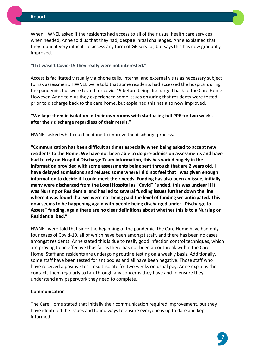When HWNEL asked if the residents had access to all of their usual health care services when needed, Anne told us that they had, despite initial challenges. Anne explained that they found it very difficult to access any form of GP service, but says this has now gradually improved.

#### **"If it wasn't Covid-19 they really were not interested."**

Access is facilitated virtually via phone calls, internal and external visits as necessary subject to risk assessment. HWNEL were told that some residents had accessed the hospital during the pandemic, but were tested for covid-19 before being discharged back to the Care Home. However, Anne told us they experienced some issues ensuring that residents were tested prior to discharge back to the care home, but explained this has also now improved.

#### **"We kept them in isolation in their own rooms with staff using full PPE for two weeks after their discharge regardless of their result."**

HWNEL asked what could be done to improve the discharge process.

**"Communication has been difficult at times especially when being asked to accept new residents to the Home. We have not been able to do pre-admission assessments and have had to rely on Hospital Discharge Team information, this has varied hugely in the information provided with some assessments being sent through that are 2 years old. I have delayed admissions and refused some where I did not feel that I was given enough information to decide if I could meet their needs. Funding has also been an issue, initially many were discharged from the Local Hospital as "Covid" Funded, this was unclear if it was Nursing or Residential and has led to several funding issues further down the line where it was found that we were not being paid the level of funding we anticipated. This now seems to be happening again with people being discharged under "Discharge to Assess" funding, again there are no clear definitions about whether this is to a Nursing or Residential bed."**

HWNEL were told that since the beginning of the pandemic, the Care Home have had only four cases of Covid-19, all of which have been amongst staff, and there has been no cases amongst residents. Anne stated this is due to really good infection control techniques, which are proving to be effective thus far as there has not been an outbreak within the Care Home. Staff and residents are undergoing routine testing on a weekly basis. Additionally, some staff have been tested for antibodies and all have been negative. Those staff who have received a positive test result isolate for two weeks on usual pay. Anne explains she contacts them regularly to talk through any concerns they have and to ensure they understand any paperwork they need to complete.

#### **Communication**

The Care Home stated that initially their communication required improvement, but they have identified the issues and found ways to ensure everyone is up to date and kept informed.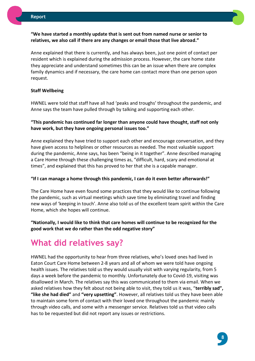

#### **"We have started a monthly update that is sent out from named nurse or senior to relatives, we also call if there are any changes or email those that live abroad."**

Anne explained that there is currently, and has always been, just one point of contact per resident which is explained during the admission process. However, the care home state they appreciate and understand sometimes this can be an issue when there are complex family dynamics and if necessary, the care home can contact more than one person upon request.

#### **Staff Wellbeing**

HWNEL were told that staff have all had 'peaks and troughs' throughout the pandemic, and Anne says the team have pulled through by talking and supporting each other.

#### **"This pandemic has continued far longer than anyone could have thought, staff not only have work, but they have ongoing personal issues too."**

Anne explained they have tried to support each other and encourage conversation, and they have given access to helplines or other resources as needed. The most valuable support during the pandemic, Anne says, has been "being in it together". Anne described managing a Care Home through these challenging times as, "difficult, hard, scary and emotional at times", and explained that this has proved to her that she is a capable manager.

#### **"If I can manage a home through this pandemic, I can do it even better afterwards!"**

The Care Home have even found some practices that they would like to continue following the pandemic, such as virtual meetings which save time by eliminating travel and finding new ways of 'keeping in touch'. Anne also told us of the excellent team spirit within the Care Home, which she hopes will continue.

#### **"Nationally, I would like to think that care homes will continue to be recognized for the good work that we do rather than the odd negative story"**

### **What did relatives say?**

HWNEL had the opportunity to hear from three relatives, who's loved ones had lived in Eaton Court Care Home between 2-8 years and all of whom we were told have ongoing health issues. The relatives told us they would usually visit with varying regularity, from 5 days a week before the pandemic to monthly. Unfortunately due to Covid-19, visiting was disallowed in March. The relatives say this was communicated to them via email. When we asked relatives how they felt about not being able to visit, they told us it was, "**terribly sad", "like she had died"** and **"very upsetting"**. However, all relatives told us they have been able to maintain some form of contact with their loved one throughout the pandemic mainly through video calls, and some with a messenger service. Relatives told us that video calls has to be requested but did not report any issues or restrictions.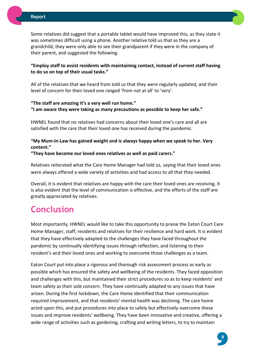

Some relatives did suggest that a portable tablet would have improved this, as they state it was sometimes difficult using a phone. Another relative told us that as they are a grandchild, they were only able to see their grandparent if they were in the company of their parent, and suggested the following.

#### **"Employ staff to assist residents with maintaining contact, instead of current staff having to do so on top of their usual tasks."**

All of the relatives that we heard from told us that they were regularly updated, and their level of concern for their loved one ranged 'from not at all' to 'very'.

#### **"The staff are amazing it's a very well run home." "I am aware they were taking as many precautions as possible to keep her safe."**

HWNEL found that no relatives had concerns about their loved one's care and all are satisfied with the care that their loved one has received during the pandemic.

#### **"My Mum-in-Law has gained weight and is always happy when we speak to her. Very content."**

**"They have become our loved ones relatives as well as paid carers."**

Relatives reiterated what the Care Home Manager had told us, saying that their loved ones were always offered a wide variety of activities and had access to all that they needed.

Overall, it is evident that relatives are happy with the care their loved ones are receiving. It is also evident that the level of communication is effective, and the efforts of the staff are greatly appreciated by relatives.

## **Conclusion**

Most importantly, HWNEL would like to take this opportunity to praise the Eaton Court Care Home Manager, staff, residents and relatives for their resilience and hard work. It is evident that they have effectively adapted to the challenges they have faced throughout the pandemic by continually identifying issues through reflection, and listening to their resident's and their loved ones and working to overcome those challenges as a team.

Eaton Court put into place a rigorous and thorough risk assessment process as early as possible which has ensured the safety and wellbeing of the residents. They faced opposition and challenges with this, but maintained their strict procedures so as to keep residents' and team safety as their sole concern. They have continually adapted to any issues that have arisen. During the first lockdown, the Care Home identified that their communication required improvement, and that residents' mental health was declining. The care home acted upon this, and put procedures into place to safely but effectively overcome these issues and improve residents' wellbeing. They have been innovative and creative, offering a wide range of activities such as gardening, crafting and writing letters, to try to maintain